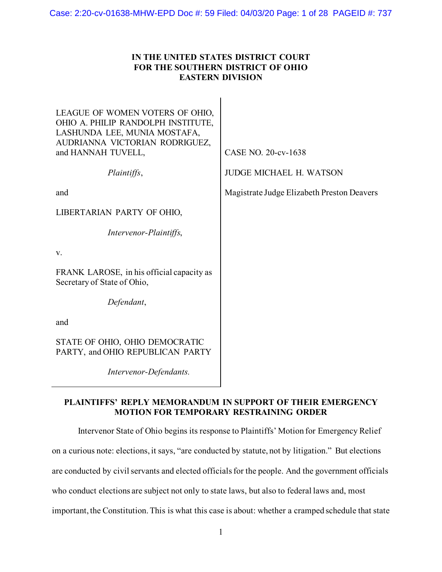# **IN THE UNITED STATES DISTRICT COURT FOR THE SOUTHERN DISTRICT OF OHIO EASTERN DIVISION**

| LEAGUE OF WOMEN VOTERS OF OHIO,<br>OHIO A. PHILIP RANDOLPH INSTITUTE,<br>LASHUNDA LEE, MUNIA MOSTAFA,<br>AUDRIANNA VICTORIAN RODRIGUEZ,<br>and HANNAH TUVELL, | CASE NO. 20-cv-1638                        |
|---------------------------------------------------------------------------------------------------------------------------------------------------------------|--------------------------------------------|
| Plaintiffs,                                                                                                                                                   | <b>JUDGE MICHAEL H. WATSON</b>             |
| and                                                                                                                                                           | Magistrate Judge Elizabeth Preston Deavers |
| LIBERTARIAN PARTY OF OHIO,                                                                                                                                    |                                            |
| Intervenor-Plaintiffs,                                                                                                                                        |                                            |
| V.                                                                                                                                                            |                                            |
| FRANK LAROSE, in his official capacity as<br>Secretary of State of Ohio,                                                                                      |                                            |
| Defendant,                                                                                                                                                    |                                            |
| and                                                                                                                                                           |                                            |
| STATE OF OHIO, OHIO DEMOCRATIC<br>PARTY, and OHIO REPUBLICAN PARTY                                                                                            |                                            |
| Intervenor-Defendants.                                                                                                                                        |                                            |

# **PLAINTIFFS' REPLY MEMORANDUM IN SUPPORT OF THEIR EMERGENCY MOTION FOR TEMPORARY RESTRAINING ORDER**

Intervenor State of Ohio begins its response to Plaintiffs' Motion for Emergency Relief

on a curious note: elections, it says, "are conducted by statute, not by litigation." But elections

are conducted by civil servants and elected officials for the people. And the government officials

who conduct elections are subject not only to state laws, but also to federal laws and, most

important, the Constitution.This is what this case is about: whether a cramped schedule that state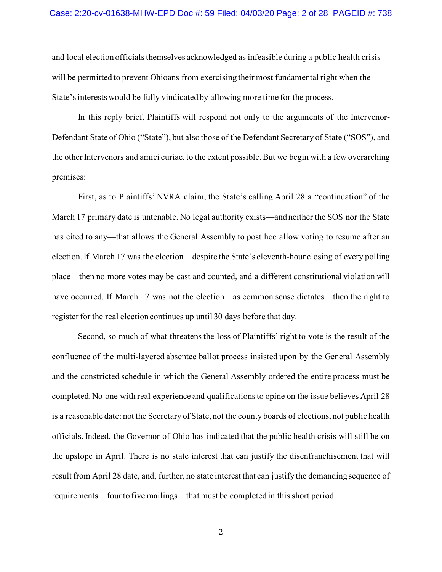and local election officials themselves acknowledged as infeasible during a public health crisis will be permitted to prevent Ohioans from exercising their most fundamental right when the State's interests would be fully vindicated by allowing more time for the process.

In this reply brief, Plaintiffs will respond not only to the arguments of the Intervenor-Defendant State of Ohio ("State"), but also those of the Defendant Secretary of State ("SOS"), and the other Intervenors and amici curiae, to the extent possible. But we begin with a few overarching premises:

First, as to Plaintiffs' NVRA claim, the State's calling April 28 a "continuation" of the March 17 primary date is untenable. No legal authority exists—and neither the SOS nor the State has cited to any—that allows the General Assembly to post hoc allow voting to resume after an election. If March 17 was the election—despite the State's eleventh-hour closing of every polling place—then no more votes may be cast and counted, and a different constitutional violation will have occurred. If March 17 was not the election—as common sense dictates—then the right to register for the real election continues up until 30 days before that day.

Second, so much of what threatens the loss of Plaintiffs' right to vote is the result of the confluence of the multi-layered absentee ballot process insisted upon by the General Assembly and the constricted schedule in which the General Assembly ordered the entire process must be completed. No one with real experience and qualifications to opine on the issue believes April 28 is a reasonable date: not the Secretary of State, not the county boards of elections, not public health officials. Indeed, the Governor of Ohio has indicated that the public health crisis will still be on the upslope in April. There is no state interest that can justify the disenfranchisement that will result from April 28 date, and, further, no state interest that can justify the demanding sequence of requirements—four to five mailings—that must be completed in this short period.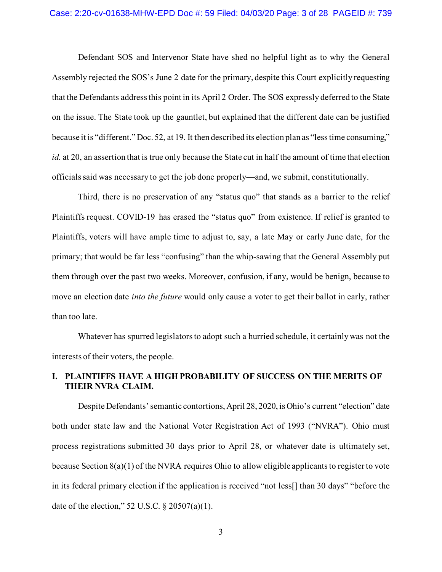Defendant SOS and Intervenor State have shed no helpful light as to why the General Assembly rejected the SOS's June 2 date for the primary, despite this Court explicitly requesting that the Defendants address this point in its April 2 Order. The SOS expressly deferred to the State on the issue. The State took up the gauntlet, but explained that the different date can be justified because it is "different." Doc. 52, at 19. It then described its election plan as "less time consuming," *id.* at 20, an assertion that is true only because the State cut in half the amount of time that election officials said was necessary to get the job done properly—and, we submit, constitutionally.

Third, there is no preservation of any "status quo" that stands as a barrier to the relief Plaintiffs request. COVID-19 has erased the "status quo" from existence. If relief is granted to Plaintiffs, voters will have ample time to adjust to, say, a late May or early June date, for the primary; that would be far less "confusing" than the whip-sawing that the General Assembly put them through over the past two weeks. Moreover, confusion, if any, would be benign, because to move an election date *into the future* would only cause a voter to get their ballot in early, rather than too late.

Whatever has spurred legislators to adopt such a hurried schedule, it certainly was not the interests of their voters, the people.

### **I. PLAINTIFFS HAVE A HIGH PROBABILITY OF SUCCESS ON THE MERITS OF THEIR NVRA CLAIM.**

Despite Defendants' semantic contortions, April 28, 2020, is Ohio's current "election" date both under state law and the National Voter Registration Act of 1993 ("NVRA"). Ohio must process registrations submitted 30 days prior to April 28, or whatever date is ultimately set, because Section 8(a)(1) of the NVRA requires Ohio to allow eligible applicants to register to vote in its federal primary election if the application is received "not less[] than 30 days" "before the date of the election," 52 U.S.C. § 20507(a)(1).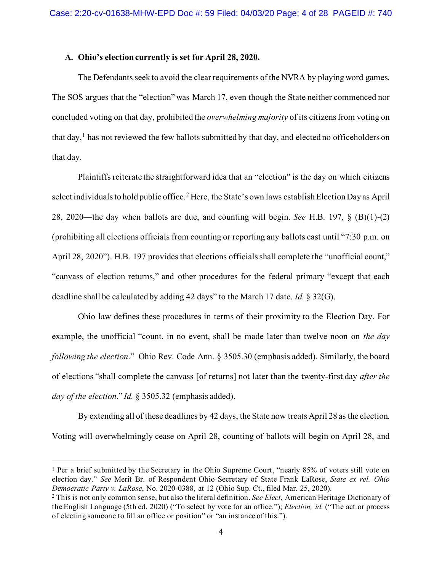#### **A. Ohio's election currently is set for April 28, 2020.**

The Defendants seek to avoid the clear requirements of the NVRA by playing word games. The SOS argues that the "election" was March 17, even though the State neither commenced nor concluded voting on that day, prohibited the *overwhelming majority* of its citizens from voting on that day,<sup>[1](#page-3-0)</sup> has not reviewed the few ballots submitted by that day, and elected no officeholders on that day.

Plaintiffs reiterate the straightforward idea that an "election" is the day on which citizens select individuals to hold public office.<sup>[2](#page-3-1)</sup> Here, the State's own laws establish Election Day as April 28, 2020—the day when ballots are due, and counting will begin. *See* H.B. 197, § (B)(1)-(2) (prohibiting all elections officials from counting or reporting any ballots cast until "7:30 p.m. on April 28, 2020"). H.B. 197 provides that elections officials shall complete the "unofficial count," "canvass of election returns," and other procedures for the federal primary "except that each deadline shall be calculated by adding 42 days" to the March 17 date. *Id.* § 32(G).

Ohio law defines these procedures in terms of their proximity to the Election Day. For example, the unofficial "count, in no event, shall be made later than twelve noon on *the day following the election*." Ohio Rev. Code Ann. § 3505.30 (emphasis added). Similarly, the board of elections "shall complete the canvass [of returns] not later than the twenty-first day *after the day of the election*." *Id.* § 3505.32 (emphasis added).

By extending all of these deadlines by 42 days, the State now treats April 28 as the election. Voting will overwhelmingly cease on April 28, counting of ballots will begin on April 28, and

<span id="page-3-0"></span><sup>1</sup> Per a brief submitted by the Secretary in the Ohio Supreme Court, "nearly 85% of voters still vote on election day." *See* Merit Br. of Respondent Ohio Secretary of State Frank LaRose, *State ex rel. Ohio Democratic Party v. LaRose*, No. 2020-0388, at 12 (Ohio Sup. Ct., filed Mar. 25, 2020).

<span id="page-3-1"></span><sup>2</sup> This is not only common sense, but also the literal definition. *See Elect*, American Heritage Dictionary of the English Language (5th ed. 2020) ("To select by vote for an office."); *Election, id.* ("The act or process of electing someone to fill an office or position" or "an instance of this.").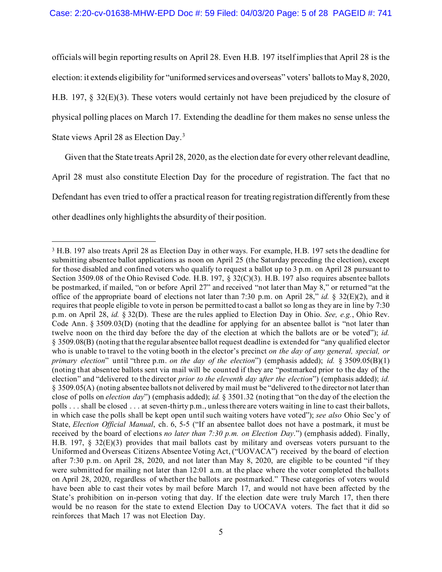officials will begin reporting results on April 28. Even H.B. 197 itself implies that April 28 is the election: it extends eligibility for "uniformed services and overseas" voters' ballots to May 8, 2020, H.B. 197, § 32(E)(3). These voters would certainly not have been prejudiced by the closure of physical polling places on March 17. Extending the deadline for them makes no sense unless the State views April 28 as Election Day.[3](#page-4-0)

Given that the State treats April 28, 2020, as the election date for every other relevant deadline, April 28 must also constitute Election Day for the procedure of registration. The fact that no Defendant has even tried to offer a practical reason for treating registration differently from these other deadlines only highlights the absurdity of their position.

<span id="page-4-0"></span><sup>3</sup> H.B. 197 also treats April 28 as Election Day in other ways. For example, H.B. 197 sets the deadline for submitting absentee ballot applications as noon on April 25 (the Saturday preceding the election), except for those disabled and confined voters who qualify to request a ballot up to 3 p.m. on April 28 pursuant to Section 3509.08 of the Ohio Revised Code. H.B. 197, § 32(C)(3). H.B. 197 also requires absentee ballots be postmarked, if mailed, "on or before April 27" and received "not later than May 8," or returned "at the office of the appropriate board of elections not later than 7:30 p.m. on April 28," *id.* § 32(E)(2), and it requires that people eligible to vote in person be permitted to cast a ballot so long as they are in line by 7:30 p.m. on April 28, *id.* § 32(D). These are the rules applied to Election Day in Ohio. *See, e.g.*, Ohio Rev. Code Ann. § 3509.03(D) (noting that the deadline for applying for an absentee ballot is "not later than twelve noon on the third day before the day of the election at which the ballots are or be voted"); *id.*  § 3509.08(B) (noting that the regular absentee ballot request deadline is extended for "any qualified elector who is unable to travel to the voting booth in the elector's precinct *on the day of any general, special, or primary election*" until "three p.m. *on the day of the election*") (emphasis added); *id.* § 3509.05(B)(1) (noting that absentee ballots sent via mail will be counted if they are "postmarked prior to the day of the election" and "delivered to the director *prior to the eleventh day* a*fter the election*") (emphasis added); *id.*  § 3509.05(A) (noting absentee ballots not delivered by mail must be "delivered to the director not later than close of polls on *election day*") (emphasis added); *id.* § 3501.32 (noting that "on the day of the election the polls . . . shall be closed . . . at seven-thirty p.m., unless there are voters waiting in line to cast their ballots, in which case the polls shall be kept open until such waiting voters have voted"); *see also* Ohio Sec'y of State, *Election Official Manual*, ch. 6, 5-5 ("If an absentee ballot does not have a postmark, it must be received by the board of elections *no later than 7:30 p.m. on Election Day*.") (emphasis added). Finally, H.B. 197, § 32(E)(3) provides that mail ballots cast by military and overseas voters pursuant to the Uniformed and Overseas Citizens Absentee Voting Act, ("UOVACA") received by the board of election after 7:30 p.m. on April 28, 2020, and not later than May 8, 2020, are eligible to be counted "if they were submitted for mailing not later than 12:01 a.m. at the place where the voter completed the ballots on April 28, 2020, regardless of whether the ballots are postmarked." These categories of voters would have been able to cast their votes by mail before March 17, and would not have been affected by the State's prohibition on in-person voting that day. If the election date were truly March 17, then there would be no reason for the state to extend Election Day to UOCAVA voters. The fact that it did so reinforces that Mach 17 was not Election Day.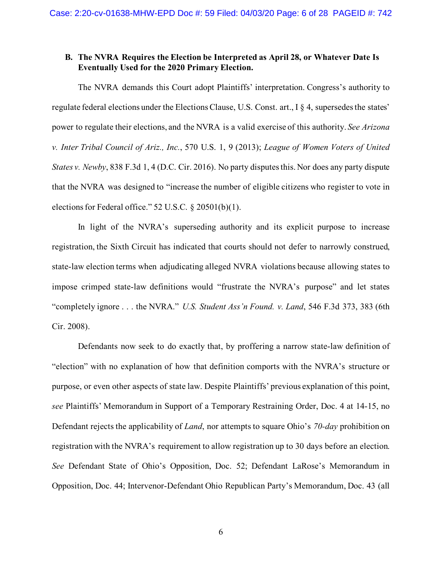# **B. The NVRA Requires the Election be Interpreted as April 28, or Whatever Date Is Eventually Used for the 2020 Primary Election.**

The NVRA demands this Court adopt Plaintiffs' interpretation. Congress's authority to regulate federal elections under the Elections Clause, U.S. Const. art., I § 4, supersedes the states' power to regulate their elections, and the NVRA is a valid exercise of this authority. *See Arizona v. Inter Tribal Council of Ariz., Inc.*, 570 U.S. 1, 9 (2013); *League of Women Voters of United States v. Newby*, 838 F.3d 1, 4 (D.C. Cir. 2016). No party disputes this. Nor does any party dispute that the NVRA was designed to "increase the number of eligible citizens who register to vote in elections for Federal office." 52 U.S.C. § 20501(b)(1).

In light of the NVRA's superseding authority and its explicit purpose to increase registration, the Sixth Circuit has indicated that courts should not defer to narrowly construed, state-law election terms when adjudicating alleged NVRA violations because allowing states to impose crimped state-law definitions would "frustrate the NVRA's purpose" and let states "completely ignore . . . the NVRA." *U.S. Student Ass'n Found. v. Land*, 546 F.3d 373, 383 (6th Cir. 2008).

Defendants now seek to do exactly that, by proffering a narrow state-law definition of "election" with no explanation of how that definition comports with the NVRA's structure or purpose, or even other aspects of state law. Despite Plaintiffs' previous explanation of this point, *see* Plaintiffs' Memorandum in Support of a Temporary Restraining Order, Doc. 4 at 14-15, no Defendant rejects the applicability of *Land*, nor attempts to square Ohio's *70-day* prohibition on registration with the NVRA's requirement to allow registration up to 30 days before an election. *See* Defendant State of Ohio's Opposition, Doc. 52; Defendant LaRose's Memorandum in Opposition, Doc. 44; Intervenor-Defendant Ohio Republican Party's Memorandum, Doc. 43 (all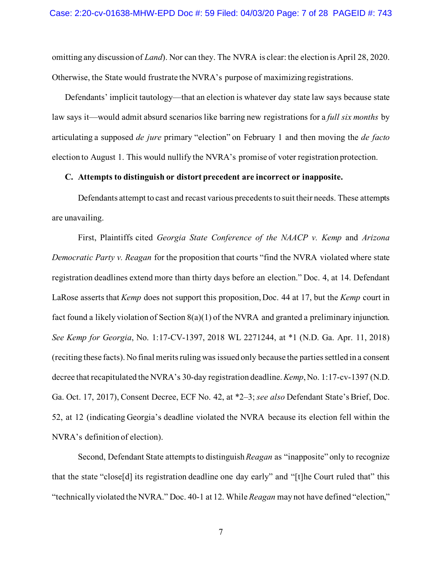omitting any discussion of *Land*). Nor can they. The NVRA is clear: the election is April 28, 2020. Otherwise, the State would frustrate the NVRA's purpose of maximizing registrations.

Defendants' implicit tautology—that an election is whatever day state law says because state law says it—would admit absurd scenarios like barring new registrations for a *full six months* by articulating a supposed *de jure* primary "election" on February 1 and then moving the *de facto* election to August 1. This would nullify the NVRA's promise of voter registration protection.

#### **C. Attempts to distinguish or distort precedent are incorrect or inapposite.**

Defendants attempt to cast and recast various precedents to suit their needs. These attempts are unavailing.

First, Plaintiffs cited *Georgia State Conference of the NAACP v. Kemp* and *Arizona Democratic Party v. Reagan* for the proposition that courts "find the NVRA violated where state registration deadlines extend more than thirty days before an election." Doc. 4, at 14. Defendant LaRose asserts that *Kemp* does not support this proposition, Doc. 44 at 17, but the *Kemp* court in fact found a likely violation of Section 8(a)(1) of the NVRA and granted a preliminary injunction. *See Kemp for Georgia*, No. 1:17-CV-1397, 2018 WL 2271244, at \*1 (N.D. Ga. Apr. 11, 2018) (reciting these facts). No final merits ruling was issued only because the parties settled in a consent decree that recapitulated the NVRA's 30-day registration deadline. *Kemp*, No. 1:17-cv-1397 (N.D. Ga. Oct. 17, 2017), Consent Decree, ECF No. 42, at \*2–3; *see also* Defendant State's Brief, Doc. 52, at 12 (indicating Georgia's deadline violated the NVRA because its election fell within the NVRA's definition of election).

Second, Defendant State attempts to distinguish *Reagan* as "inapposite" only to recognize that the state "close[d] its registration deadline one day early" and "[t]he Court ruled that" this "technically violated the NVRA." Doc. 40-1 at 12. While *Reagan* may not have defined "election,"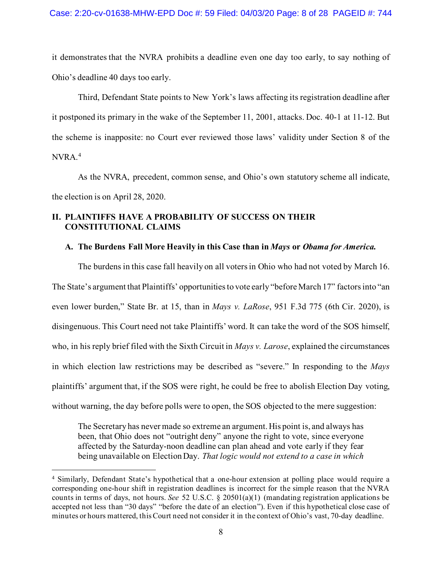it demonstrates that the NVRA prohibits a deadline even one day too early, to say nothing of Ohio's deadline 40 days too early.

Third, Defendant State points to New York's laws affecting its registration deadline after it postponed its primary in the wake of the September 11, 2001, attacks. Doc. 40-1 at 11-12. But the scheme is inapposite: no Court ever reviewed those laws' validity under Section 8 of the NVRA.[4](#page-7-0)

As the NVRA, precedent, common sense, and Ohio's own statutory scheme all indicate, the election is on April 28, 2020.

# **II. PLAINTIFFS HAVE A PROBABILITY OF SUCCESS ON THEIR CONSTITUTIONAL CLAIMS**

### **A. The Burdens Fall More Heavily in this Case than in** *Mays* **or** *Obama for America.*

The burdens in this case fall heavily on all voters in Ohio who had not voted by March 16. The State's argument that Plaintiffs' opportunities to vote early "before March 17" factors into "an even lower burden," State Br. at 15, than in *Mays v. LaRose*, 951 F.3d 775 (6th Cir. 2020), is disingenuous. This Court need not take Plaintiffs' word. It can take the word of the SOS himself, who, in his reply brief filed with the Sixth Circuit in *Mays v. Larose*, explained the circumstances in which election law restrictions may be described as "severe." In responding to the *Mays* plaintiffs' argument that, if the SOS were right, he could be free to abolish Election Day voting, without warning, the day before polls were to open, the SOS objected to the mere suggestion:

The Secretary has never made so extreme an argument. His point is, and always has been, that Ohio does not "outright deny" anyone the right to vote, since everyone affected by the Saturday-noon deadline can plan ahead and vote early if they fear being unavailable on Election Day. *That logic would not extend to a case in which* 

<span id="page-7-0"></span><sup>4</sup> Similarly, Defendant State's hypothetical that a one-hour extension at polling place would require a corresponding one-hour shift in registration deadlines is incorrect for the simple reason that the NVRA counts in terms of days, not hours. *See* 52 U.S.C. § 20501(a)(1) (mandating registration applications be accepted not less than "30 days" "before the date of an election"). Even if this hypothetical close case of minutes or hours mattered, this Court need not consider it in the context of Ohio's vast, 70-day deadline.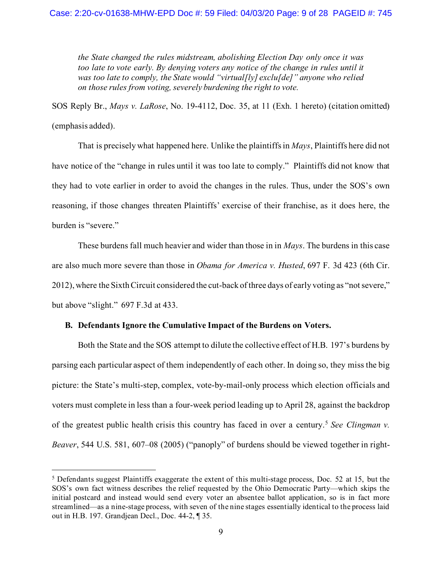*the State changed the rules midstream, abolishing Election Day only once it was*  too late to vote early. By denying voters any notice of the change in rules until it *was too late to comply, the State would "virtual[ly] exclu[de]" anyone who relied on those rules from voting, severely burdening the right to vote.*

SOS Reply Br., *Mays v. LaRose*, No. 19-4112, Doc. 35, at 11 (Exh. 1 hereto) (citation omitted) (emphasis added).

That is precisely what happened here. Unlike the plaintiffs in *Mays*, Plaintiffs here did not have notice of the "change in rules until it was too late to comply." Plaintiffs did not know that they had to vote earlier in order to avoid the changes in the rules. Thus, under the SOS's own reasoning, if those changes threaten Plaintiffs' exercise of their franchise, as it does here, the burden is "severe."

These burdens fall much heavier and wider than those in in *Mays*. The burdens in this case are also much more severe than those in *Obama for America v. Husted*, 697 F. 3d 423 (6th Cir. 2012), where the Sixth Circuit considered the cut-back of three days of early voting as "not severe," but above "slight." 697 F.3d at 433.

#### **B. Defendants Ignore the Cumulative Impact of the Burdens on Voters.**

Both the State and the SOS attempt to dilute the collective effect of H.B. 197's burdens by parsing each particular aspect of them independently of each other. In doing so, they miss the big picture: the State's multi-step, complex, vote-by-mail-only process which election officials and voters must complete in less than a four-week period leading up to April 28, against the backdrop of the greatest public health crisis this country has faced in over a century.[5](#page-8-0) *See [Clingman v.](http://www.westlaw.com/Link/Document/FullText?findType=Y&serNum=2006651964&pubNum=0000780&originatingDoc=Ia20f72107a3711e6b8b9e1ce282dafae&refType=RP&fi=co_pp_sp_780_607&originationContext=document&vr=3.0&rs=cblt1.0&transitionType=DocumentItem&contextData=(sc.Keycite)#co_pp_sp_780_607)  Beaver*[, 544 U.S. 581, 607–08](http://www.westlaw.com/Link/Document/FullText?findType=Y&serNum=2006651964&pubNum=0000780&originatingDoc=Ia20f72107a3711e6b8b9e1ce282dafae&refType=RP&fi=co_pp_sp_780_607&originationContext=document&vr=3.0&rs=cblt1.0&transitionType=DocumentItem&contextData=(sc.Keycite)#co_pp_sp_780_607) (2005) ("panoply" of burdens should be viewed together in right-

<span id="page-8-0"></span><sup>5</sup> Defendants suggest Plaintiffs exaggerate the extent of this multi-stage process, Doc. 52 at 15, but the SOS's own fact witness describes the relief requested by the Ohio Democratic Party—which skips the initial postcard and instead would send every voter an absentee ballot application, so is in fact more streamlined—as a nine-stage process, with seven of the nine stages essentially identical to the process laid out in H.B. 197. Grandjean Decl., Doc. 44-2, ¶ 35.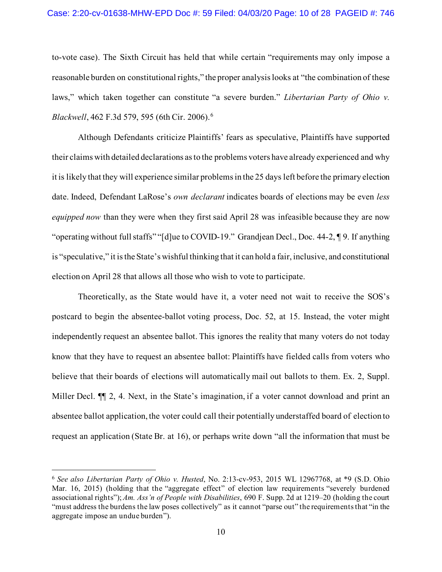#### Case: 2:20-cv-01638-MHW-EPD Doc #: 59 Filed: 04/03/20 Page: 10 of 28 PAGEID #: 746

to-vote case). The Sixth Circuit has held that while certain "requirements may only impose a reasonable burden on constitutional rights," the proper analysis looks at "the combination of these laws," which taken together can constitute "a severe burden." *Libertarian Party of Ohio v. Blackwell*, 462 F.3d 579, 595 (6th Cir. 2006). [6](#page-9-0)

Although Defendants criticize Plaintiffs' fears as speculative, Plaintiffs have supported their claims with detailed declarations as to the problems voters have already experienced and why it is likely that they will experience similar problems in the 25 days left before the primary election date. Indeed, Defendant LaRose's *own declarant* indicates boards of elections may be even *less equipped now* than they were when they first said April 28 was infeasible because they are now "operating without full staffs" "[d]ue to COVID-19." Grandjean Decl., Doc. 44-2, ¶ 9. If anything is "speculative," it is the State's wishful thinking that it can hold a fair, inclusive, and constitutional election on April 28 that allows all those who wish to vote to participate.

Theoretically, as the State would have it, a voter need not wait to receive the SOS's postcard to begin the absentee-ballot voting process, Doc. 52, at 15. Instead, the voter might independently request an absentee ballot. This ignores the reality that many voters do not today know that they have to request an absentee ballot: Plaintiffs have fielded calls from voters who believe that their boards of elections will automatically mail out ballots to them. Ex. 2, Suppl. Miller Decl.  $\P$  2, 4. Next, in the State's imagination, if a voter cannot download and print an absentee ballot application, the voter could call their potentially understaffed board of election to request an application (State Br. at 16), or perhaps write down "all the information that must be

<span id="page-9-0"></span><sup>6</sup> *See also Libertarian Party of Ohio v. Husted*, No. 2:13-cv-953, 2015 WL 12967768, at \*9 (S.D. Ohio Mar. 16, 2015) (holding that the "aggregate effect" of election law requirements "severely burdened associational rights"); *Am. Ass'n of People with Disabilities*, 690 F. Supp. 2d at 1219–20 (holding the court "must address the burdens the law poses collectively" as it cannot "parse out" the requirements that "in the aggregate impose an undue burden").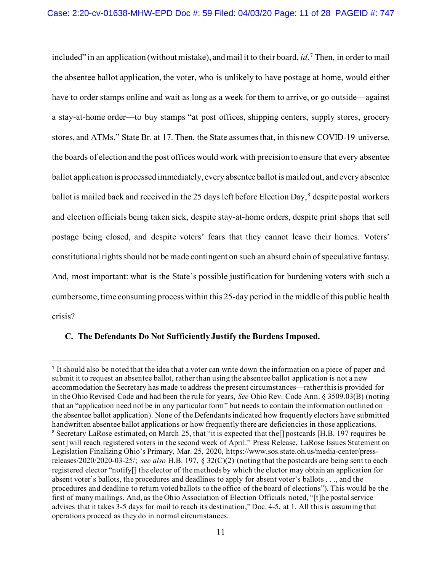included" in an application (without mistake), and mail it to their board, *id*. [7](#page-10-0) Then, in order to mail the absentee ballot application, the voter, who is unlikely to have postage at home, would either have to order stamps online and wait as long as a week for them to arrive, or go outside—against a stay-at-home order—to buy stamps "at post offices, shipping centers, supply stores, grocery stores, and ATMs." State Br. at 17. Then, the State assumes that, in this new COVID-19 universe, the boards of election and the post offices would work with precision to ensure that every absentee ballot application is processed immediately, every absentee ballot is mailed out, and every absentee ballot is mailed back and received in the 25 days left before Election Day,<sup>[8](#page-10-1)</sup> despite postal workers and election officials being taken sick, despite stay-at-home orders, despite print shops that sell postage being closed, and despite voters' fears that they cannot leave their homes. Voters' constitutional rights should not be made contingent on such an absurd chain of speculative fantasy. And, most important: what is the State's possible justification for burdening voters with such a cumbersome, time consuming process within this 25-day period in the middle of this public health crisis?

### **C. The Defendants Do Not Sufficiently Justify the Burdens Imposed.**

<span id="page-10-1"></span><span id="page-10-0"></span><sup>7</sup> It should also be noted that the idea that a voter can write down the information on a piece of paper and submit it to request an absentee ballot, rather than using the absentee ballot application is not a new accommodation the Secretary has made to address the present circumstances—rather this is provided for in the Ohio Revised Code and had been the rule for years, *See* Ohio Rev. Code Ann. § 3509.03(B) (noting that an "application need not be in any particular form" but needs to contain the information outlined on the absentee ballot application). None of the Defendants indicated how frequently electors have submitted handwritten absentee ballot applications or how frequently there are deficiencies in those applications. <sup>8</sup> Secretary LaRose estimated, on March 25, that "it is expected that the[] postcards [H.B. 197 requires be sent] will reach registered voters in the second week of April." Press Release, LaRose Issues Statement on Legislation Finalizing Ohio's Primary, Mar. 25, 2020, [https://www.sos.state.oh.us/media-center/press](https://www.sos.state.oh.us/media-center/press-releases/2020/2020-03-25/)[releases/2020/2020-03-25/;](https://www.sos.state.oh.us/media-center/press-releases/2020/2020-03-25/) *see also* H.B. 197, § 32(C)(2) (noting that the postcards are being sent to each registered elector "notify[] the elector of the methods by which the elector may obtain an application for absent voter's ballots, the procedures and deadlines to apply for absent voter's ballots . . ., and the procedures and deadline to return voted ballots to the office of the board of elections"). This would be the first of many mailings. And, as the Ohio Association of Election Officials noted, "[t]he postal service advises that it takes 3-5 days for mail to reach its destination," Doc. 4-5, at 1. All this is assuming that operations proceed as they do in normal circumstances.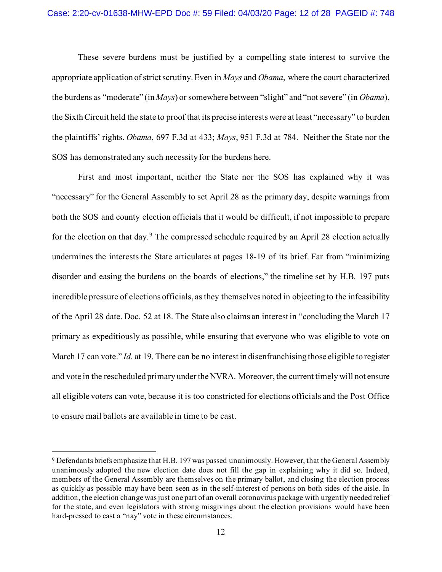These severe burdens must be justified by a compelling state interest to survive the appropriate application of strict scrutiny. Even in *Mays* and *Obama*, where the court characterized the burdens as "moderate" (in *Mays*) or somewhere between "slight" and "not severe" (in *Obama*), the Sixth Circuit held the state to proof that its precise interests were at least "necessary" to burden the plaintiffs' rights. *Obama*, 697 F.3d at 433; *Mays*, 951 F.3d at 784. Neither the State nor the SOS has demonstrated any such necessity for the burdens here.

First and most important, neither the State nor the SOS has explained why it was "necessary" for the General Assembly to set April 28 as the primary day, despite warnings from both the SOS and county election officials that it would be difficult, if not impossible to prepare for the election on that day.<sup>[9](#page-11-0)</sup> The compressed schedule required by an April 28 election actually undermines the interests the State articulates at pages 18-19 of its brief. Far from "minimizing disorder and easing the burdens on the boards of elections," the timeline set by H.B. 197 puts incredible pressure of elections officials, as they themselves noted in objecting to the infeasibility of the April 28 date. Doc. 52 at 18. The State also claims an interest in "concluding the March 17 primary as expeditiously as possible, while ensuring that everyone who was eligible to vote on March 17 can vote." *Id.* at 19. There can be no interest in disenfranchising those eligible to register and vote in the rescheduled primary under the NVRA. Moreover, the current timely will not ensure all eligible voters can vote, because it is too constricted for elections officials and the Post Office to ensure mail ballots are available in time to be cast.

<span id="page-11-0"></span><sup>9</sup> Defendants briefs emphasize that H.B. 197 was passed unanimously. However, that the General Assembly unanimously adopted the new election date does not fill the gap in explaining why it did so. Indeed, members of the General Assembly are themselves on the primary ballot, and closing the election process as quickly as possible may have been seen as in the self-interest of persons on both sides of the aisle. In addition, the election change was just one part of an overall coronavirus package with urgently needed relief for the state, and even legislators with strong misgivings about the election provisions would have been hard-pressed to cast a "nay" vote in these circumstances.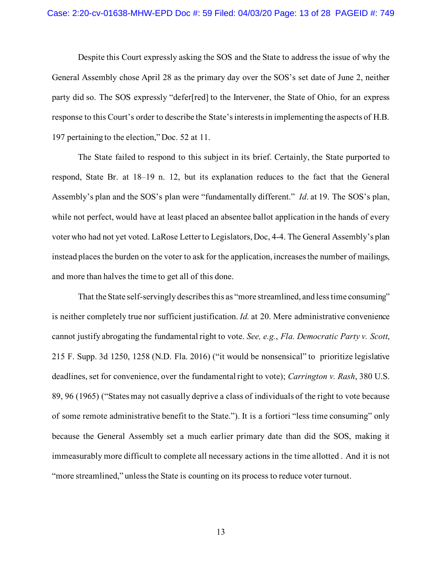Despite this Court expressly asking the SOS and the State to address the issue of why the General Assembly chose April 28 as the primary day over the SOS's set date of June 2, neither party did so. The SOS expressly "defer[red] to the Intervener, the State of Ohio, for an express response to this Court's order to describe the State's interests in implementing the aspects of H.B. 197 pertaining to the election," Doc. 52 at 11.

The State failed to respond to this subject in its brief. Certainly, the State purported to respond, State Br. at 18–19 n. 12, but its explanation reduces to the fact that the General Assembly's plan and the SOS's plan were "fundamentally different." *Id*. at 19. The SOS's plan, while not perfect, would have at least placed an absentee ballot application in the hands of every voter who had not yet voted. LaRose Letter to Legislators, Doc, 4-4. The General Assembly's plan instead places the burden on the voter to ask for the application, increases the number of mailings, and more than halves the time to get all of this done.

That the State self-servingly describes this as "more streamlined, and less time consuming" is neither completely true nor sufficient justification. *Id.* at 20. Mere administrative convenience cannot justify abrogating the fundamental right to vote. *See, e.g.*, *Fla. Democratic Party v. Scott*, 215 F. Supp. 3d 1250, 1258 (N.D. Fla. 2016) ("it would be nonsensical" to prioritize legislative deadlines, set for convenience, over the fundamental right to vote); *Carrington v. Rash*, 380 U.S. 89, 96 (1965) ("States may not casually deprive a class of individuals of the right to vote because of some remote administrative benefit to the State."). It is a fortiori "less time consuming" only because the General Assembly set a much earlier primary date than did the SOS, making it immeasurably more difficult to complete all necessary actions in the time allotted . And it is not "more streamlined," unless the State is counting on its process to reduce voter turnout.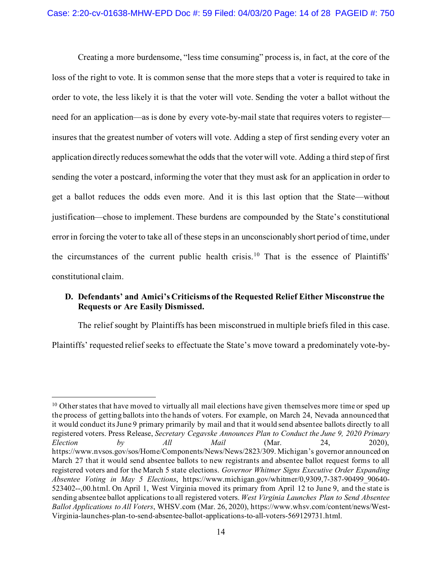Creating a more burdensome, "less time consuming" process is, in fact, at the core of the loss of the right to vote. It is common sense that the more steps that a voter is required to take in order to vote, the less likely it is that the voter will vote. Sending the voter a ballot without the need for an application—as is done by every vote-by-mail state that requires voters to register insures that the greatest number of voters will vote. Adding a step of first sending every voter an application directly reduces somewhat the odds that the voter will vote. Adding a third step of first sending the voter a postcard, informing the voter that they must ask for an application in order to get a ballot reduces the odds even more. And it is this last option that the State—without justification—chose to implement. These burdens are compounded by the State's constitutional error in forcing the voter to take all of these steps in an unconscionably short period of time, under the circumstances of the current public health crisis. [10](#page-13-0) That is the essence of Plaintiffs' constitutional claim.

### **D. Defendants' and Amici's Criticisms of the Requested Relief Either Misconstrue the Requests or Are Easily Dismissed.**

The relief sought by Plaintiffs has been misconstrued in multiple briefs filed in this case. Plaintiffs' requested relief seeks to effectuate the State's move toward a predominately vote-by-

<span id="page-13-0"></span><sup>&</sup>lt;sup>10</sup> Other states that have moved to virtually all mail elections have given themselves more time or sped up the process of getting ballots into the hands of voters. For example, on March 24, Nevada announced that it would conduct its June 9 primary primarily by mail and that it would send absentee ballots directly to all registered voters. Press Release, *Secretary Cegavske Announces Plan to Conduct the June 9, 2020 Primary Election by All Mail* (Mar. 24, 2020), [https://www.nvsos.gov/sos/Home/Components/News/News/2823/309.](https://nam10.safelinks.protection.outlook.com/?url=https%3A%2F%2Fwww.nvsos.gov%2Fsos%2FHome%2FComponents%2FNews%2FNews%2F2823%2F309&data=01%7C01%7C%7C383c6121b52a43a59ab908d7d7e6046d%7Ccbd30192e2f046839c8f4b702b0ffb4a%7C0&sdata=WTFPKkHeifLIKhcZHogBTTLaBdol48%2B%2Fl4tnR7Fs1LQ%3D&reserved=0) Michigan's governor announced on March 27 that it would send absentee ballots to new registrants and absentee ballot request forms to all registered voters and for the March 5 state elections. *Governor Whitmer Signs Executive Order Expanding Absentee Voting in May 5 Elections*, [https://www.michigan.gov/whitmer/0,9309,7-387-90499\\_90640-](https://nam10.safelinks.protection.outlook.com/?url=https%3A%2F%2Fwww.michigan.gov%2Fwhitmer%2F0%2C9309%2C7-387-90499_90640-523402--%2C00.html&data=01%7C01%7C%7C383c6121b52a43a59ab908d7d7e6046d%7Ccbd30192e2f046839c8f4b702b0ffb4a%7C0&sdata=fNe441ggR01rmGBJTV49odkI5M5enuxApRFvsupEsWc%3D&reserved=0) [523402--,00.html.](https://nam10.safelinks.protection.outlook.com/?url=https%3A%2F%2Fwww.michigan.gov%2Fwhitmer%2F0%2C9309%2C7-387-90499_90640-523402--%2C00.html&data=01%7C01%7C%7C383c6121b52a43a59ab908d7d7e6046d%7Ccbd30192e2f046839c8f4b702b0ffb4a%7C0&sdata=fNe441ggR01rmGBJTV49odkI5M5enuxApRFvsupEsWc%3D&reserved=0) On April 1, West Virginia moved its primary from April 12 to June 9, and the state is sending absentee ballot applications to all registered voters. *West Virginia Launches Plan to Send Absentee Ballot Applications to All Voters*, WHSV.com (Mar. 26, 2020), [https://www.whsv.com/content/news/West-](https://nam10.safelinks.protection.outlook.com/?url=https%3A%2F%2Fwww.whsv.com%2Fcontent%2Fnews%2FWest-Virginia-launches-plan-to-send-absentee-ballot-applications-to-all-voters-569129731.html&data=01%7C01%7C%7C383c6121b52a43a59ab908d7d7e6046d%7Ccbd30192e2f046839c8f4b702b0ffb4a%7C0&sdata=1nzx4%2FxjnrGf0cbgR7qf1f8rqmyXAyvjeqtyc5lafpc%3D&reserved=0)[Virginia-launches-plan-to-send-absentee-ballot-applications-to-all-voters-569129731.html.](https://nam10.safelinks.protection.outlook.com/?url=https%3A%2F%2Fwww.whsv.com%2Fcontent%2Fnews%2FWest-Virginia-launches-plan-to-send-absentee-ballot-applications-to-all-voters-569129731.html&data=01%7C01%7C%7C383c6121b52a43a59ab908d7d7e6046d%7Ccbd30192e2f046839c8f4b702b0ffb4a%7C0&sdata=1nzx4%2FxjnrGf0cbgR7qf1f8rqmyXAyvjeqtyc5lafpc%3D&reserved=0)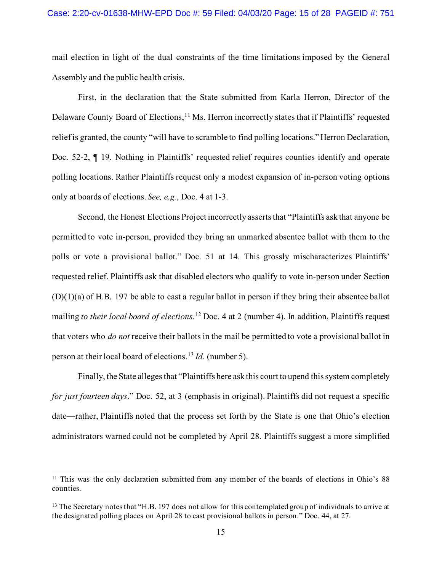mail election in light of the dual constraints of the time limitations imposed by the General Assembly and the public health crisis.

First, in the declaration that the State submitted from Karla Herron, Director of the Delaware County Board of Elections,<sup>[11](#page-14-0)</sup> Ms. Herron incorrectly states that if Plaintiffs' requested relief is granted, the county "will have to scramble to find polling locations." Herron Declaration, Doc. 52-2, ¶ 19. Nothing in Plaintiffs' requested relief requires counties identify and operate polling locations. Rather Plaintiffs request only a modest expansion of in-person voting options only at boards of elections. *See, e.g.*, Doc. 4 at 1-3.

Second, the Honest Elections Project incorrectly asserts that "Plaintiffs ask that anyone be permitted to vote in-person, provided they bring an unmarked absentee ballot with them to the polls or vote a provisional ballot." Doc. 51 at 14. This grossly mischaracterizes Plaintiffs' requested relief. Plaintiffs ask that disabled electors who qualify to vote in-person under Section  $(D)(1)(a)$  of H.B. 197 be able to cast a regular ballot in person if they bring their absentee ballot mailing *to their local board of elections*. [12](#page-14-1) Doc. 4 at 2 (number 4). In addition, Plaintiffs request that voters who *do not* receive their ballots in the mail be permitted to vote a provisional ballot in person at their local board of elections.[13](#page-14-2) *Id.* (number 5).

Finally, the State alleges that "Plaintiffs here ask this court to upend this system completely *for just fourteen days*." Doc. 52, at 3 (emphasis in original). Plaintiffs did not request a specific date—rather, Plaintiffs noted that the process set forth by the State is one that Ohio's election administrators warned could not be completed by April 28. Plaintiffs suggest a more simplified

<span id="page-14-0"></span><sup>&</sup>lt;sup>11</sup> This was the only declaration submitted from any member of the boards of elections in Ohio's 88 counties.

<span id="page-14-2"></span><span id="page-14-1"></span><sup>&</sup>lt;sup>13</sup> The Secretary notes that "H.B. 197 does not allow for this contemplated group of individuals to arrive at the designated polling places on April 28 to cast provisional ballots in person." Doc. 44, at 27.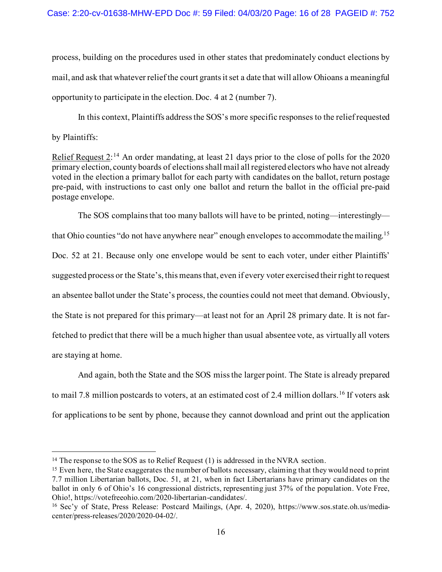process, building on the procedures used in other states that predominately conduct elections by mail, and ask that whatever relief the court grants it set a date that will allow Ohioans a meaningful opportunity to participate in the election. Doc. 4 at 2 (number 7).

In this context, Plaintiffs address the SOS's more specific responses to the relief requested by Plaintiffs:

Relief Request 2:<sup>[14](#page-15-0)</sup> An order mandating, at least 21 days prior to the close of polls for the 2020 primary election, county boards of elections shall mail all registered electors who have not already voted in the election a primary ballot for each party with candidates on the ballot, return postage pre-paid, with instructions to cast only one ballot and return the ballot in the official pre-paid postage envelope.

The SOS complains that too many ballots will have to be printed, noting—interestingly— that Ohio counties "do not have anywhere near" enough envelopes to accommodate the mailing.<sup>[15](#page-15-1)</sup> Doc. 52 at 21. Because only one envelope would be sent to each voter, under either Plaintiffs' suggested process or the State's, this means that, even if every voter exercised their right to request an absentee ballot under the State's process, the counties could not meet that demand. Obviously, the State is not prepared for this primary—at least not for an April 28 primary date. It is not farfetched to predict that there will be a much higher than usual absentee vote, as virtually all voters are staying at home.

And again, both the State and the SOS miss the larger point. The State is already prepared to mail 7.8 million postcards to voters, at an estimated cost of 2.4 million dollars.<sup>[16](#page-15-2)</sup> If voters ask for applications to be sent by phone, because they cannot download and print out the application

<span id="page-15-0"></span><sup>&</sup>lt;sup>14</sup> The response to the SOS as to Relief Request (1) is addressed in the NVRA section.

<span id="page-15-1"></span><sup>15</sup> Even here, the State exaggerates the number of ballots necessary, claiming that they would need to print 7.7 million Libertarian ballots, Doc. 51, at 21, when in fact Libertarians have primary candidates on the ballot in only 6 of Ohio's 16 congressional districts, representing just 37% of the population. Vote Free, Ohio!, https://votefreeohio.com/2020-libertarian-candidates/.

<span id="page-15-2"></span><sup>16</sup> Sec'y of State, Press Release: Postcard Mailings, (Apr. 4, 2020), [https://www.sos.state.oh.us/media](https://www.sos.state.oh.us/media-center/press-releases/2020/2020-04-02/)[center/press-releases/2020/2020-04-02/.](https://www.sos.state.oh.us/media-center/press-releases/2020/2020-04-02/)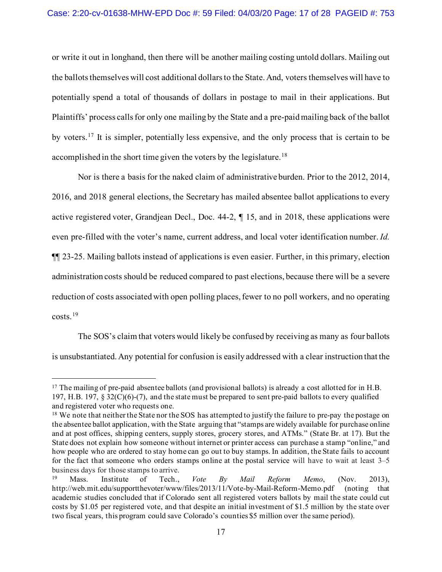or write it out in longhand, then there will be another mailing costing untold dollars. Mailing out the ballots themselves will cost additional dollars to the State. And, voters themselves will have to potentially spend a total of thousands of dollars in postage to mail in their applications. But Plaintiffs' process calls for only one mailing by the State and a pre-paid mailing back of the ballot by voters.<sup>[17](#page-16-0)</sup> It is simpler, potentially less expensive, and the only process that is certain to be accomplished in the short time given the voters by the legislature.<sup>[18](#page-16-1)</sup>

Nor is there a basis for the naked claim of administrative burden. Prior to the 2012, 2014, 2016, and 2018 general elections, the Secretary has mailed absentee ballot applications to every active registered voter, Grandjean Decl., Doc. 44-2, ¶ 15, and in 2018, these applications were even pre-filled with the voter's name, current address, and local voter identification number. *Id.* ¶¶ 23-25. Mailing ballots instead of applications is even easier. Further, in this primary, election administration costs should be reduced compared to past elections, because there will be a severe reduction of costs associated with open polling places, fewer to no poll workers, and no operating costs. [19](#page-16-2) 

The SOS's claim that voters would likely be confused by receiving as many as four ballots is unsubstantiated. Any potential for confusion is easily addressed with a clear instruction that the

<span id="page-16-0"></span><sup>&</sup>lt;sup>17</sup> The mailing of pre-paid absentee ballots (and provisional ballots) is already a cost allotted for in H.B. 197, H.B. 197,  $\S 32(C)(6)-(7)$ , and the state must be prepared to sent pre-paid ballots to every qualified and registered voter who requests one.

<span id="page-16-1"></span><sup>&</sup>lt;sup>18</sup> We note that neither the State nor the SOS has attempted to justify the failure to pre-pay the postage on the absentee ballot application, with the State arguing that "stamps are widely available for purchase online and at post offices, shipping centers, supply stores, grocery stores, and ATMs." (State Br. at 17). But the State does not explain how someone without internet or printer access can purchase a stamp "online," and how people who are ordered to stay home can go out to buy stamps. In addition, the State fails to account for the fact that someone who orders stamps online at the postal service will have to wait at least 3–5 business days for those stamps to arrive.

<span id="page-16-2"></span><sup>19</sup> Mass. Institute of Tech., *Vote By Mail Reform Memo*, (Nov. 2013), <http://web.mit.edu/supportthevoter/www/files/2013/11/Vote-by-Mail-Reform-Memo.pdf> (noting that academic studies concluded that if Colorado sent all registered voters ballots by mail the state could cut costs by \$1.05 per registered vote, and that despite an initial investment of \$1.5 million by the state over two fiscal years, this program could save Colorado's counties \$5 million over the same period).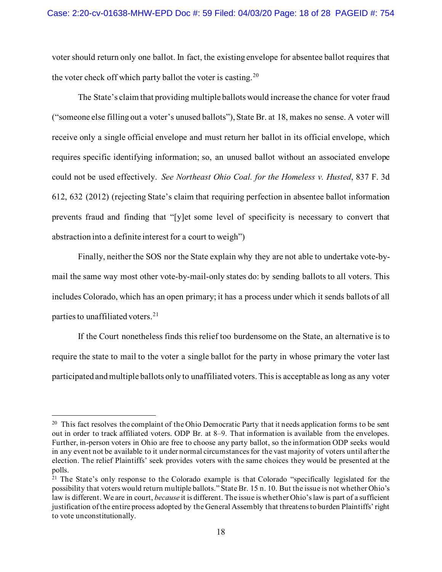voter should return only one ballot. In fact, the existing envelope for absentee ballot requires that the voter check off which party ballot the voter is casting.<sup>20</sup>

The State's claim that providing multiple ballots would increase the chance for voter fraud ("someone else filling out a voter's unused ballots"), State Br. at 18, makes no sense. A voter will receive only a single official envelope and must return her ballot in its official envelope, which requires specific identifying information; so, an unused ballot without an associated envelope could not be used effectively. *See Northeast Ohio Coal. for the Homeless v. Husted*, 837 F. 3d 612, 632 (2012) (rejecting State's claim that requiring perfection in absentee ballot information prevents fraud and finding that "[y]et some level of specificity is necessary to convert that abstraction into a definite interest for a court to weigh")

Finally, neither the SOS nor the State explain why they are not able to undertake vote-bymail the same way most other vote-by-mail-only states do: by sending ballots to all voters. This includes Colorado, which has an open primary; it has a process under which it sends ballots of all parties to unaffiliated voters.<sup>[21](#page-17-1)</sup>

If the Court nonetheless finds this relief too burdensome on the State, an alternative is to require the state to mail to the voter a single ballot for the party in whose primary the voter last participated and multiple ballots only to unaffiliated voters. This is acceptable as long as any voter

<span id="page-17-0"></span><sup>&</sup>lt;sup>20</sup> This fact resolves the complaint of the Ohio Democratic Party that it needs application forms to be sent out in order to track affiliated voters. ODP Br. at 8–9. That information is available from the envelopes. Further, in-person voters in Ohio are free to choose any party ballot, so the information ODP seeks would in any event not be available to it under normal circumstances for the vast majority of voters until after the election. The relief Plaintiffs' seek provides voters with the same choices they would be presented at the polls.

<span id="page-17-1"></span><sup>&</sup>lt;sup>21</sup> The State's only response to the Colorado example is that Colorado "specifically legislated for the possibility that voters would return multiple ballots." State Br. 15 n. 10. But the issue is not whether Ohio's law is different. We are in court, *because* it is different. The issue is whether Ohio's law is part of a sufficient justification of the entire process adopted by the General Assembly that threatens to burden Plaintiffs' right to vote unconstitutionally.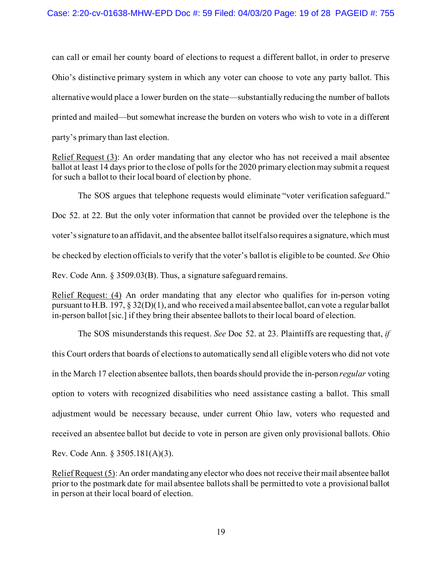can call or email her county board of elections to request a different ballot, in order to preserve Ohio's distinctive primary system in which any voter can choose to vote any party ballot. This alternative would place a lower burden on the state—substantially reducing the number of ballots printed and mailed—but somewhat increase the burden on voters who wish to vote in a different party's primary than last election.

Relief Request (3): An order mandating that any elector who has not received a mail absentee ballot at least 14 days prior to the close of polls for the 2020 primary election may submit a request for such a ballot to their local board of election by phone.

The SOS argues that telephone requests would eliminate "voter verification safeguard." Doc 52. at 22. But the only voter information that cannot be provided over the telephone is the voter's signature to an affidavit, and the absentee ballot itself also requires a signature, which must be checked by election officials to verify that the voter's ballot is eligible to be counted. *See* Ohio Rev. Code Ann. § 3509.03(B). Thus, a signature safeguard remains.

Relief Request: (4) An order mandating that any elector who qualifies for in-person voting pursuant to H.B. 197, § 32(D)(1), and who received a mail absentee ballot, can vote a regular ballot in-person ballot [sic.] if they bring their absentee ballots to their local board of election.

The SOS misunderstands this request. *See* Doc 52. at 23. Plaintiffs are requesting that, *if*  this Court orders that boards of elections to automatically send all eligible voters who did not vote in the March 17 election absentee ballots, then boards should provide the in-person *regular* voting option to voters with recognized disabilities who need assistance casting a ballot. This small adjustment would be necessary because, under current Ohio law, voters who requested and received an absentee ballot but decide to vote in person are given only provisional ballots. Ohio Rev. Code Ann. § 3505.181(A)(3).

Relief Request (5): An order mandating any elector who does not receive their mail absentee ballot prior to the postmark date for mail absentee ballots shall be permitted to vote a provisional ballot in person at their local board of election.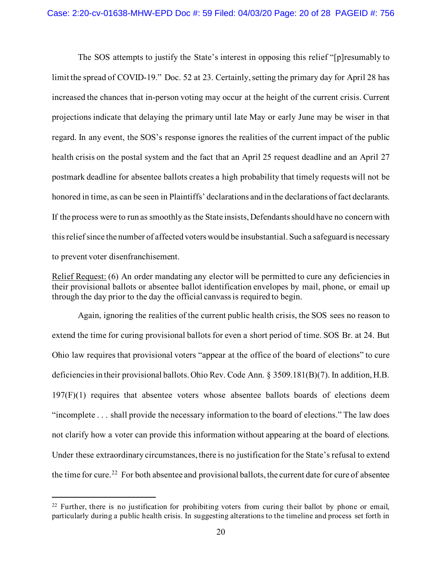The SOS attempts to justify the State's interest in opposing this relief "[p]resumably to limit the spread of COVID-19." Doc. 52 at 23. Certainly, setting the primary day for April 28 has increased the chances that in-person voting may occur at the height of the current crisis. Current projections indicate that delaying the primary until late May or early June may be wiser in that regard. In any event, the SOS's response ignores the realities of the current impact of the public health crisis on the postal system and the fact that an April 25 request deadline and an April 27 postmark deadline for absentee ballots creates a high probability that timely requests will not be honored in time, as can be seen in Plaintiffs' declarations and in the declarations of fact declarants. If the process were to run as smoothly as the State insists, Defendants should have no concern with this relief since the number of affected voters would be insubstantial. Such a safeguard is necessary to prevent voter disenfranchisement.

Relief Request: (6) An order mandating any elector will be permitted to cure any deficiencies in their provisional ballots or absentee ballot identification envelopes by mail, phone, or email up through the day prior to the day the official canvass is required to begin.

Again, ignoring the realities of the current public health crisis, the SOS sees no reason to extend the time for curing provisional ballots for even a short period of time. SOS Br. at 24. But Ohio law requires that provisional voters "appear at the office of the board of elections" to cure deficiencies in their provisional ballots. Ohio Rev. Code Ann. § 3509.181(B)(7). In addition, H.B. 197(F)(1) requires that absentee voters whose absentee ballots boards of elections deem "incomplete . . . shall provide the necessary information to the board of elections." The law does not clarify how a voter can provide this information without appearing at the board of elections. Under these extraordinary circumstances, there is no justification for the State's refusal to extend the time for cure.<sup>[22](#page-19-0)</sup> For both absentee and provisional ballots, the current date for cure of absentee

<span id="page-19-0"></span> $22$  Further, there is no justification for prohibiting voters from curing their ballot by phone or email, particularly during a public health crisis. In suggesting alterations to the timeline and process set forth in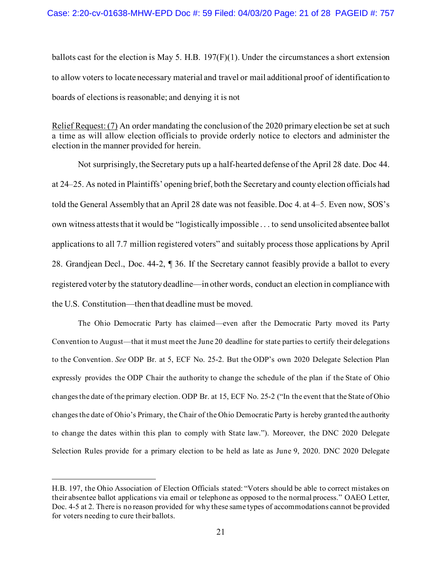ballots cast for the election is May 5. H.B.  $197(F)(1)$ . Under the circumstances a short extension to allow voters to locate necessary material and travel or mail additional proof of identification to boards of elections is reasonable; and denying it is not

Relief Request: (7) An order mandating the conclusion of the 2020 primary election be set at such a time as will allow election officials to provide orderly notice to electors and administer the election in the manner provided for herein.

Not surprisingly, the Secretary puts up a half-hearted defense of the April 28 date. Doc 44. at 24–25. As noted in Plaintiffs' opening brief, both the Secretary and county election officials had told the General Assembly that an April 28 date was not feasible. Doc 4. at 4–5. Even now, SOS's own witness attests that it would be "logistically impossible . . . to send unsolicited absentee ballot applications to all 7.7 million registered voters" and suitably process those applications by April 28. Grandjean Decl., Doc. 44-2, ¶ 36. If the Secretary cannot feasibly provide a ballot to every registered voter by the statutory deadline—in other words, conduct an election in compliance with the U.S. Constitution—then that deadline must be moved.

The Ohio Democratic Party has claimed—even after the Democratic Party moved its Party Convention to August—that it must meet the June 20 deadline for state parties to certify their delegations to the Convention. *See* ODP Br. at 5, ECF No. 25-2. But the ODP's own 2020 Delegate Selection Plan expressly provides the ODP Chair the authority to change the schedule of the plan if the State of Ohio changes the date of the primary election. ODP Br. at 15, ECF No. 25-2 ("In the event that the State of Ohio changes the date of Ohio's Primary, the Chair of the Ohio Democratic Party is hereby granted the authority to change the dates within this plan to comply with State law."). Moreover, the DNC 2020 Delegate Selection Rules provide for a primary election to be held as late as June 9, 2020. DNC 2020 Delegate

H.B. 197, the Ohio Association of Election Officials stated: "Voters should be able to correct mistakes on their absentee ballot applications via email or telephone as opposed to the normal process." OAEO Letter, Doc. 4-5 at 2. There is no reason provided for why these same types of accommodations cannot be provided for voters needing to cure their ballots.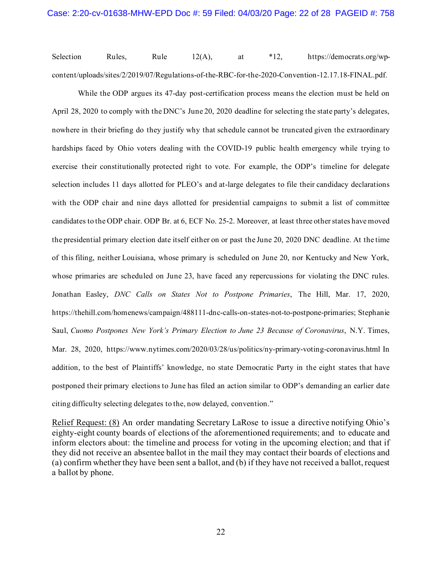Selection Rules, Rule 12(A), at \*12, [https://democrats.org/wp](https://democrats.org/wp-content/uploads/sites/2/2019/07/Regulations-of-the-RBC-for-the-2020-Convention-12.17.18-FINAL.pdf)[content/uploads/sites/2/2019/07/Regulations-of-the-RBC-for-the-2020-Convention-12.17.18-FINAL.pdf.](https://democrats.org/wp-content/uploads/sites/2/2019/07/Regulations-of-the-RBC-for-the-2020-Convention-12.17.18-FINAL.pdf)

While the ODP argues its 47-day post-certification process means the election must be held on April 28, 2020 to comply with the DNC's June 20, 2020 deadline for selecting the state party's delegates, nowhere in their briefing do they justify why that schedule cannot be truncated given the extraordinary hardships faced by Ohio voters dealing with the COVID-19 public health emergency while trying to exercise their constitutionally protected right to vote. For example, the ODP's timeline for delegate selection includes 11 days allotted for PLEO's and at-large delegates to file their candidacy declarations with the ODP chair and nine days allotted for presidential campaigns to submit a list of committee candidates to the ODP chair. ODP Br. at 6, ECF No. 25-2. Moreover, at least three other states have moved the presidential primary election date itself either on or past the June 20, 2020 DNC deadline. At the time of this filing, neither Louisiana, whose primary is scheduled on June 20, nor Kentucky and New York, whose primaries are scheduled on June 23, have faced any repercussions for violating the DNC rules. Jonathan Easley, *DNC Calls on States Not to Postpone Primaries*, The Hill, Mar. 17, 2020, [https://thehill.com/homenews/campaign/488111-dnc-calls-on-states-not-to-postpone-primaries;](https://thehill.com/homenews/campaign/488111-dnc-calls-on-states-not-to-postpone-primaries) Stephanie Saul, *Cuomo Postpones New York's Primary Election to June 23 Because of Coronavirus*, N.Y. Times, Mar. 28, 2020, <https://www.nytimes.com/2020/03/28/us/politics/ny-primary-voting-coronavirus.html> In addition, to the best of Plaintiffs' knowledge, no state Democratic Party in the eight states that have postponed their primary elections to June has filed an action similar to ODP's demanding an earlier date citing difficulty selecting delegates to the, now delayed, convention."

Relief Request: (8) An order mandating Secretary LaRose to issue a directive notifying Ohio's eighty-eight county boards of elections of the aforementioned requirements; and to educate and inform electors about: the timeline and process for voting in the upcoming election; and that if they did not receive an absentee ballot in the mail they may contact their boards of elections and (a) confirm whether they have been sent a ballot, and (b) if they have not received a ballot, request a ballot by phone.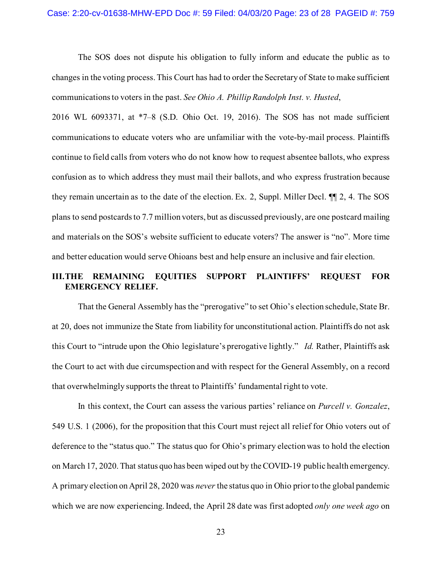The SOS does not dispute his obligation to fully inform and educate the public as to changes in the voting process. This Court has had to order the Secretary of State to make sufficient communications to voters in the past. *See Ohio A. Phillip Randolph Inst. v. Husted*,

2016 WL 6093371, at \*7–8 (S.D. Ohio Oct. 19, 2016). The SOS has not made sufficient communications to educate voters who are unfamiliar with the vote-by-mail process. Plaintiffs continue to field calls from voters who do not know how to request absentee ballots, who express confusion as to which address they must mail their ballots, and who express frustration because they remain uncertain as to the date of the election. Ex. 2, Suppl. Miller Decl. ¶¶ 2, 4. The SOS plans to send postcards to 7.7 million voters, but as discussed previously, are one postcard mailing and materials on the SOS's website sufficient to educate voters? The answer is "no". More time and better education would serve Ohioans best and help ensure an inclusive and fair election.

# **III.THE REMAINING EQUITIES SUPPORT PLAINTIFFS' REQUEST FOR EMERGENCY RELIEF.**

That the General Assembly has the "prerogative" to set Ohio's election schedule, State Br. at 20, does not immunize the State from liability for unconstitutional action. Plaintiffs do not ask this Court to "intrude upon the Ohio legislature's prerogative lightly." *Id.* Rather, Plaintiffs ask the Court to act with due circumspection and with respect for the General Assembly, on a record that overwhelmingly supports the threat to Plaintiffs' fundamental right to vote.

In this context, the Court can assess the various parties' reliance on *Purcell v. Gonzalez*, 549 U.S. 1 (2006), for the proposition that this Court must reject all relief for Ohio voters out of deference to the "status quo." The status quo for Ohio's primary election was to hold the election on March 17, 2020. That status quo has been wiped out by the COVID-19 public health emergency. A primary election on April 28, 2020 was *never* the status quo in Ohio prior to the global pandemic which we are now experiencing. Indeed, the April 28 date was first adopted *only one week ago* on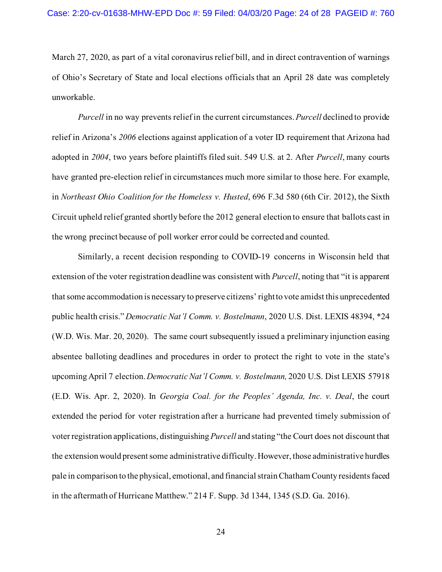March 27, 2020, as part of a vital coronavirus relief bill, and in direct contravention of warnings of Ohio's Secretary of State and local elections officials that an April 28 date was completely unworkable.

*Purcell* in no way prevents relief in the current circumstances. *Purcell* declined to provide relief in Arizona's *2006* elections against application of a voter ID requirement that Arizona had adopted in *2004*, two years before plaintiffs filed suit. 549 U.S. at 2. After *Purcell*, many courts have granted pre-election relief in circumstances much more similar to those here. For example, in *Northeast Ohio Coalition for the Homeless v. Husted*, 696 F.3d 580 (6th Cir. 2012), the Sixth Circuit upheld relief granted shortly before the 2012 general election to ensure that ballots cast in the wrong precinct because of poll worker error could be corrected and counted.

Similarly, a recent decision responding to COVID-19 concerns in Wisconsin held that extension of the voter registration deadline was consistent with *Purcell*, noting that "it is apparent that some accommodation is necessary to preserve citizens' right to vote amidst this unprecedented public health crisis." *Democratic Nat'l Comm. v. Bostelmann*, 2020 U.S. Dist. LEXIS 48394, \*24 (W.D. Wis. Mar. 20, 2020). The same court subsequently issued a preliminary injunction easing absentee balloting deadlines and procedures in order to protect the right to vote in the state's upcoming April 7 election. *Democratic Nat'l Comm. v. Bostelmann,* 2020 U.S. Dist LEXIS 57918 (E.D. Wis. Apr. 2, 2020). In *Georgia Coal. for the Peoples' Agenda, Inc. v. Deal*, the court extended the period for voter registration after a hurricane had prevented timely submission of voter registration applications, distinguishing *Purcell* and stating "the Court does not discount that the extension would present some administrative difficulty. However, those administrative hurdles pale in comparison to the physical, emotional, and financial strain Chatham County residents faced in the aftermath of Hurricane Matthew." 214 F. Supp. 3d 1344, 1345 (S.D. Ga. 2016).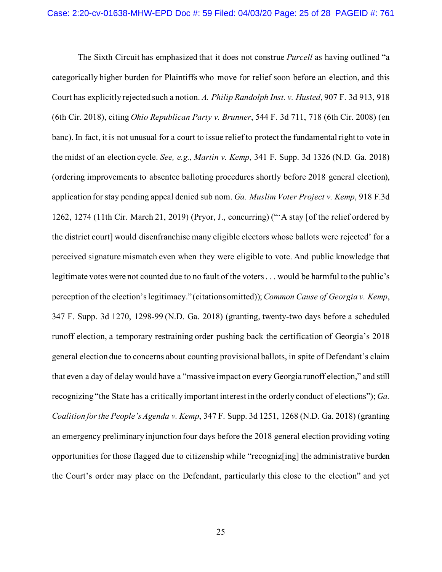The Sixth Circuit has emphasized that it does not construe *Purcell* as having outlined "a categorically higher burden for Plaintiffs who move for relief soon before an election, and this Court has explicitly rejected such a notion. *A. Philip Randolph Inst. v. Husted*, 907 F. 3d 913, 918 (6th Cir. 2018), citing *Ohio Republican Party v. Brunner*, 544 F. 3d 711, 718 (6th Cir. 2008) (en banc). In fact, it is not unusual for a court to issue relief to protect the fundamental right to vote in the midst of an election cycle. *See, e.g.*, *Martin v. Kemp*, 341 F. Supp. 3d 1326 (N.D. Ga. 2018) (ordering improvements to absentee balloting procedures shortly before 2018 general election), application for stay pending appeal denied sub nom. *Ga. Muslim Voter Project v. Kemp*, 918 F.3d 1262, 1274 (11th Cir. March 21, 2019) (Pryor, J., concurring) ("'A stay [of the relief ordered by the district court] would disenfranchise many eligible electors whose ballots were rejected' for a perceived signature mismatch even when they were eligible to vote. And public knowledge that legitimate votes were not counted due to no fault of the voters . . . would be harmful to the public's perception of the election's legitimacy." (citations omitted)); *Common Cause of Georgia v. Kemp*, 347 F. Supp. 3d 1270, 1298-99 (N.D. Ga. 2018) (granting, twenty-two days before a scheduled runoff election, a temporary restraining order pushing back the certification of Georgia's 2018 general election due to concerns about counting provisional ballots, in spite of Defendant's claim that even a day of delay would have a "massive impact on every Georgia runoff election," and still recognizing "the State has a critically important interest in the orderly conduct of elections"); *Ga. Coalition for the People's Agenda v. Kemp*, 347 F. Supp. 3d 1251, 1268 (N.D. Ga. 2018) (granting an emergency preliminary injunction four days before the 2018 general election providing voting opportunities for those flagged due to citizenship while "recogniz[ing] the administrative burden the Court's order may place on the Defendant, particularly this close to the election" and yet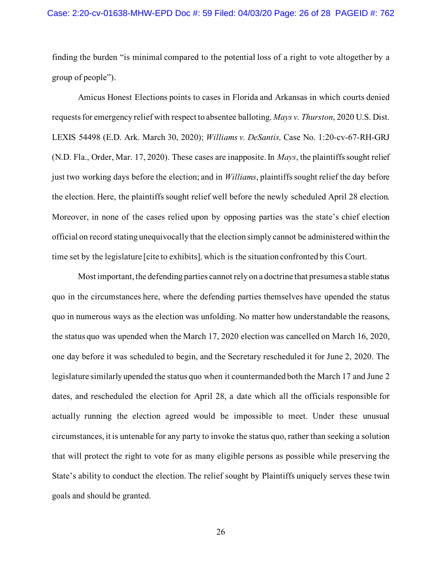finding the burden "is minimal compared to the potential loss of a right to vote altogether by a group of people").

Amicus Honest Elections points to cases in Florida and Arkansas in which courts denied requests for emergency relief with respect to absentee balloting. *Mays v. Thurston*, 2020 U.S. Dist. LEXIS 54498 (E.D. Ark. March 30, 2020); *Williams v. DeSantis,* Case No. 1:20-cv-67-RH-GRJ (N.D. Fla., Order, Mar. 17, 2020). These cases are inapposite. In *Mays*, the plaintiffs sought relief just two working days before the election; and in *Williams*, plaintiffs sought relief the day before the election. Here, the plaintiffs sought relief well before the newly scheduled April 28 election. Moreover, in none of the cases relied upon by opposing parties was the state's chief election official on record stating unequivocally that the election simply cannot be administered within the time set by the legislature [cite to exhibits]*,* which is the situation confronted by this Court.

Most important, the defending parties cannot rely on a doctrine that presumes a stable status quo in the circumstances here, where the defending parties themselves have upended the status quo in numerous ways as the election was unfolding. No matter how understandable the reasons, the status quo was upended when the March 17, 2020 election was cancelled on March 16, 2020, one day before it was scheduled to begin, and the Secretary rescheduled it for June 2, 2020. The legislature similarly upended the status quo when it countermanded both the March 17 and June 2 dates, and rescheduled the election for April 28, a date which all the officials responsible for actually running the election agreed would be impossible to meet. Under these unusual circumstances, it is untenable for any party to invoke the status quo, rather than seeking a solution that will protect the right to vote for as many eligible persons as possible while preserving the State's ability to conduct the election. The relief sought by Plaintiffs uniquely serves these twin goals and should be granted.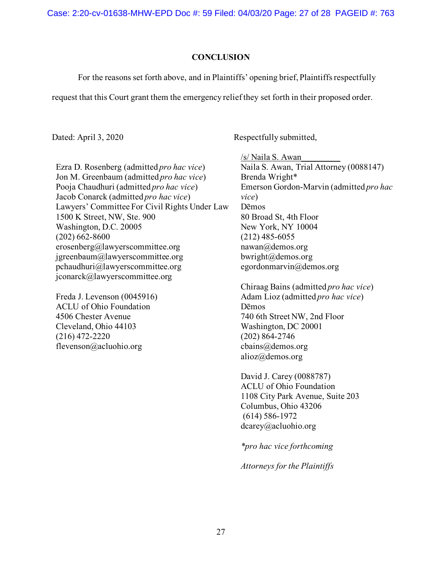Case: 2:20-cv-01638-MHW-EPD Doc #: 59 Filed: 04/03/20 Page: 27 of 28 PAGEID #: 763

### **CONCLUSION**

For the reasons set forth above, and in Plaintiffs' opening brief, Plaintiffs respectfully

request that this Court grant them the emergency relief they set forth in their proposed order.

Dated: April 3, 2020 Respectfully submitted,

Ezra D. Rosenberg (admitted *pro hac vice*) Jon M. Greenbaum (admitted *pro hac vice*) Pooja Chaudhuri (admitted *pro hac vice*) Jacob Conarck (admitted *pro hac vice*) Lawyers' Committee For Civil Rights Under Law 1500 K Street, NW, Ste. 900 Washington, D.C. 20005 (202) 662-8600 erosenberg@lawyerscommittee.org jgreenbaum@lawyerscommittee.org pchaudhuri@lawyerscommittee.org jconarck@lawyerscommittee.org

Freda J. Levenson (0045916) ACLU of Ohio Foundation 4506 Chester Avenue Cleveland, Ohio 44103 (216) 472-2220 flevenson@acluohio.org

/s/ Naila S. Awan\_\_\_\_\_\_\_\_\_ Naila S. Awan, Trial Attorney (0088147) Brenda Wright\* Emerson Gordon-Marvin (admitted *pro hac vice*) Dēmos 80 Broad St, 4th Floor New York, NY 10004 (212) 485-6055 nawan@demos.org bwright@demos.org egordonmarvin@demos.org

Chiraag Bains (admitted *pro hac vice*) Adam Lioz (admitted *pro hac vice*) Dēmos 740 6th Street NW, 2nd Floor Washington, DC 20001 (202) 864-2746 cbains@demos.org alioz@demos.org

David J. Carey (0088787) ACLU of Ohio Foundation 1108 City Park Avenue, Suite 203 Columbus, Ohio 43206 (614) 586-1972 dcarey@acluohio.org

*\*pro hac vice forthcoming*

*Attorneys for the Plaintiffs*